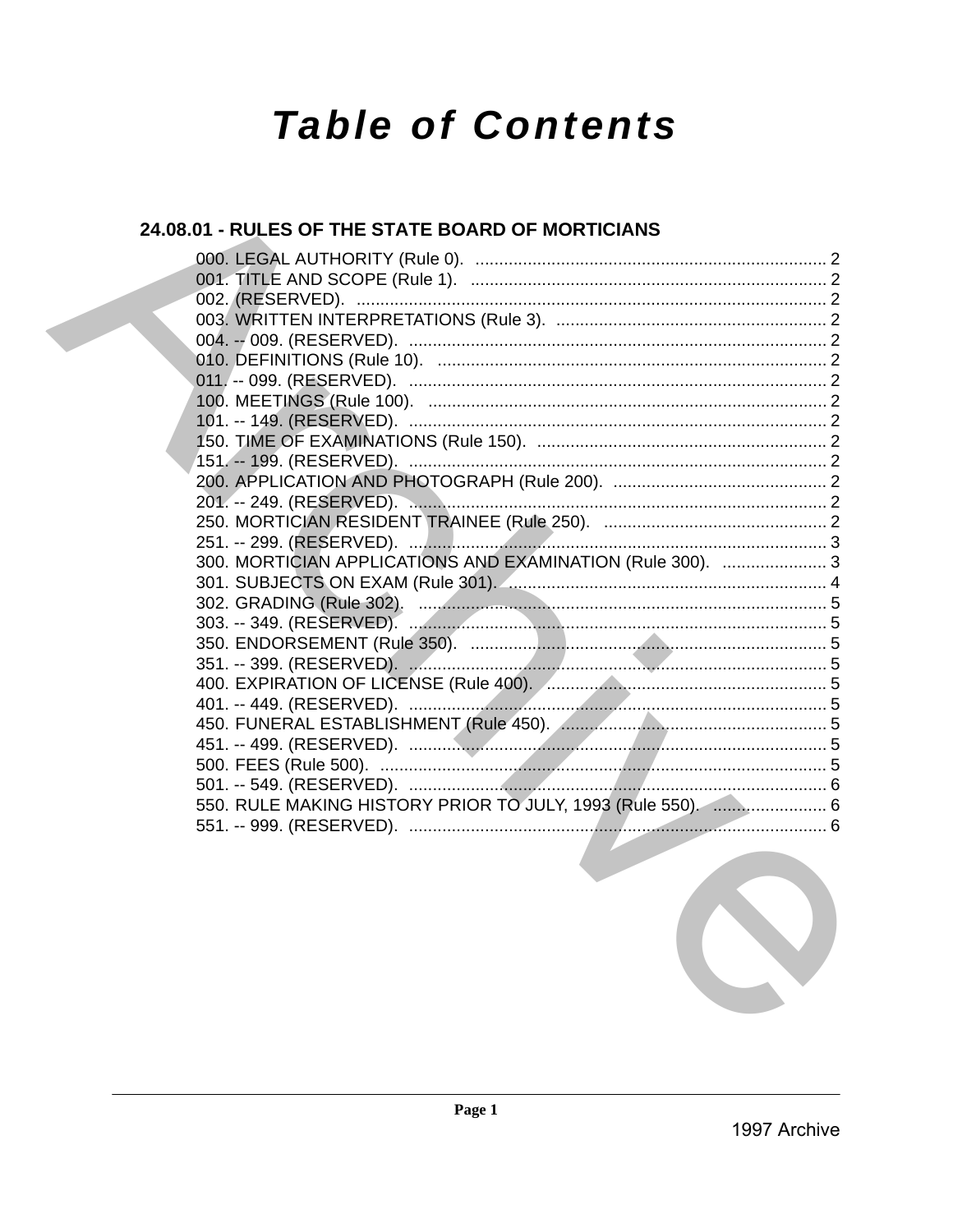# **Table of Contents**

# 24.08.01 - RULES OF THE STATE BOARD OF MORTICIANS

| 300. MORTICIAN APPLICATIONS AND EXAMINATION (Rule 300).  3  |  |
|-------------------------------------------------------------|--|
|                                                             |  |
|                                                             |  |
|                                                             |  |
|                                                             |  |
|                                                             |  |
|                                                             |  |
|                                                             |  |
|                                                             |  |
|                                                             |  |
|                                                             |  |
|                                                             |  |
| 550. RULE MAKING HISTORY PRIOR TO JULY, 1993 (Rule 550).  6 |  |
|                                                             |  |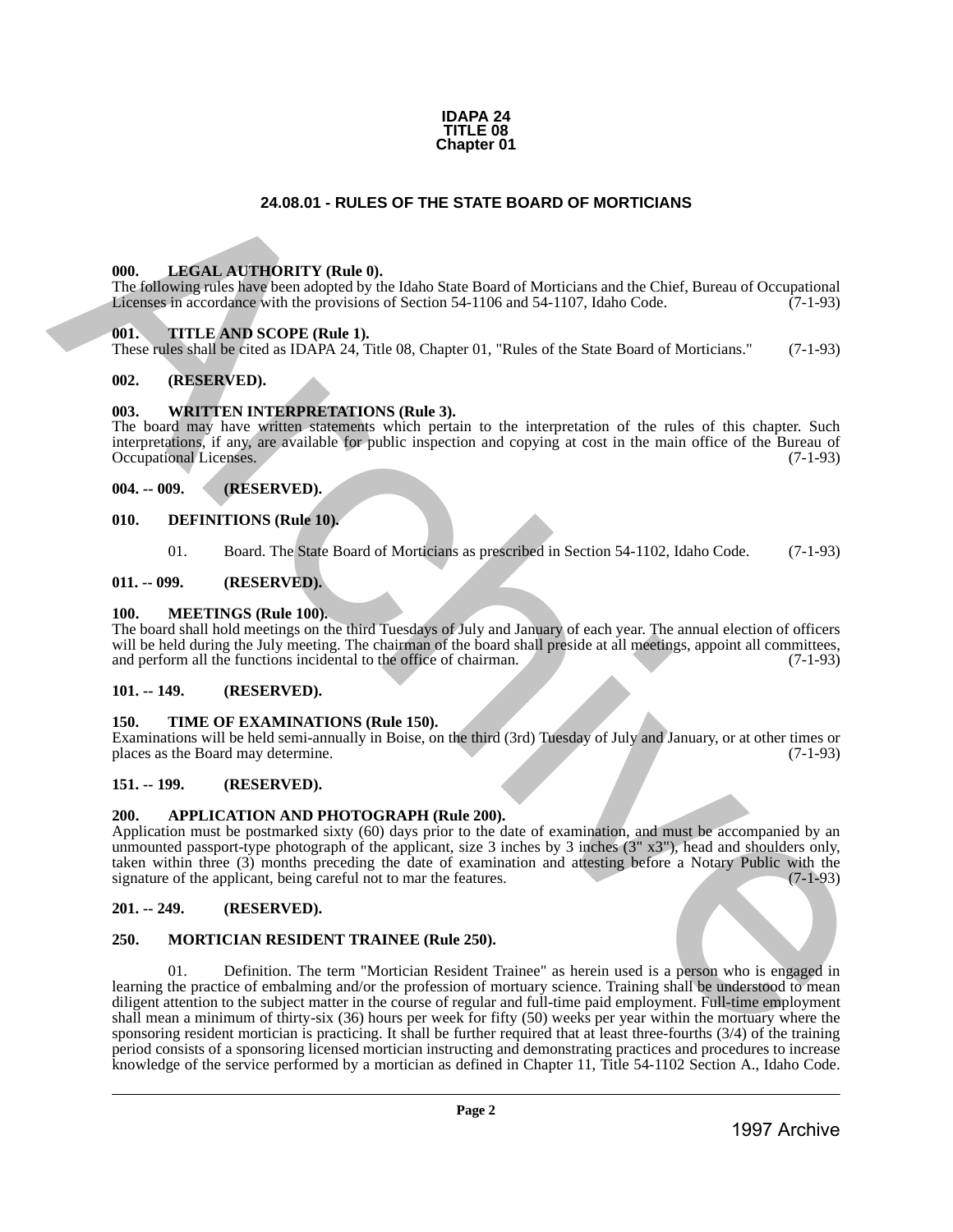

# **24.08.01 - RULES OF THE STATE BOARD OF MORTICIANS**

#### <span id="page-1-1"></span>**000. LEGAL AUTHORITY (Rule 0).**

The following rules have been adopted by the Idaho State Board of Morticians and the Chief, Bureau of Occupational Licenses in accordance with the provisions of Section 54-1106 and 54-1107, Idaho Code. (7-1-93)

#### <span id="page-1-2"></span>**001. TITLE AND SCOPE (Rule 1).**

These rules shall be cited as IDAPA 24, Title 08, Chapter 01, "Rules of the State Board of Morticians." (7-1-93)

### <span id="page-1-3"></span>**002. (RESERVED).**

#### <span id="page-1-4"></span>**003. WRITTEN INTERPRETATIONS (Rule 3).**

The board may have written statements which pertain to the interpretation of the rules of this chapter. Such interpretations, if any, are available for public inspection and copying at cost in the main office of the Bureau of Occupational Licenses. (7-1-93) Occupational Licenses.

# <span id="page-1-5"></span>**004. -- 009. (RESERVED).**

#### <span id="page-1-6"></span>**010. DEFINITIONS (Rule 10).**

01. Board. The State Board of Morticians as prescribed in Section 54-1102, Idaho Code. (7-1-93)

#### <span id="page-1-7"></span>**011. -- 099. (RESERVED).**

#### <span id="page-1-8"></span>**100. MEETINGS (Rule 100).**

The board shall hold meetings on the third Tuesdays of July and January of each year. The annual election of officers will be held during the July meeting. The chairman of the board shall preside at all meetings, appoint all committees, and perform all the functions incidental to the office of chairman. (7-1-93) and perform all the functions incidental to the office of chairman.

#### <span id="page-1-9"></span>**101. -- 149. (RESERVED).**

#### <span id="page-1-10"></span>**150. TIME OF EXAMINATIONS (Rule 150).**

Examinations will be held semi-annually in Boise, on the third (3rd) Tuesday of July and January, or at other times or places as the Board may determine.

### <span id="page-1-11"></span>**151. -- 199. (RESERVED).**

#### <span id="page-1-12"></span>**200. APPLICATION AND PHOTOGRAPH (Rule 200).**

Application must be postmarked sixty (60) days prior to the date of examination, and must be accompanied by an unmounted passport-type photograph of the applicant, size 3 inches by 3 inches (3" x3"), head and shoulders only, taken within three (3) months preceding the date of examination and attesting before a Notary Public with the signature of the applicant, being careful not to mar the features. (7-1-93)

### <span id="page-1-13"></span>**201. -- 249. (RESERVED).**

#### <span id="page-1-14"></span>**250. MORTICIAN RESIDENT TRAINEE (Rule 250).**

<span id="page-1-0"></span>01. Definition. The term "Mortician Resident Trainee" as herein used is a person who is engaged in learning the practice of embalming and/or the profession of mortuary science. Training shall be understood to mean diligent attention to the subject matter in the course of regular and full-time paid employment. Full-time employment shall mean a minimum of thirty-six (36) hours per week for fifty (50) weeks per year within the mortuary where the sponsoring resident mortician is practicing. It shall be further required that at least three-fourths (3/4) of the training period consists of a sponsoring licensed mortician instructing and demonstrating practices and procedures to increase knowledge of the service performed by a mortician as defined in Chapter 11, Title 54-1102 Section A., Idaho Code. **24.08.01 - RULES OF THE STATE BOARD OF MORTICIANS**<br>
1998. **LHENE** ARCHIVERTY (Reds 0), Linker State State Island Matterial and the Clinc. Bureau of Occupations<br>
1998. **LHENE ARCHIVERTY CONSULTS IN AN ARCHIVERTY CONSULTS**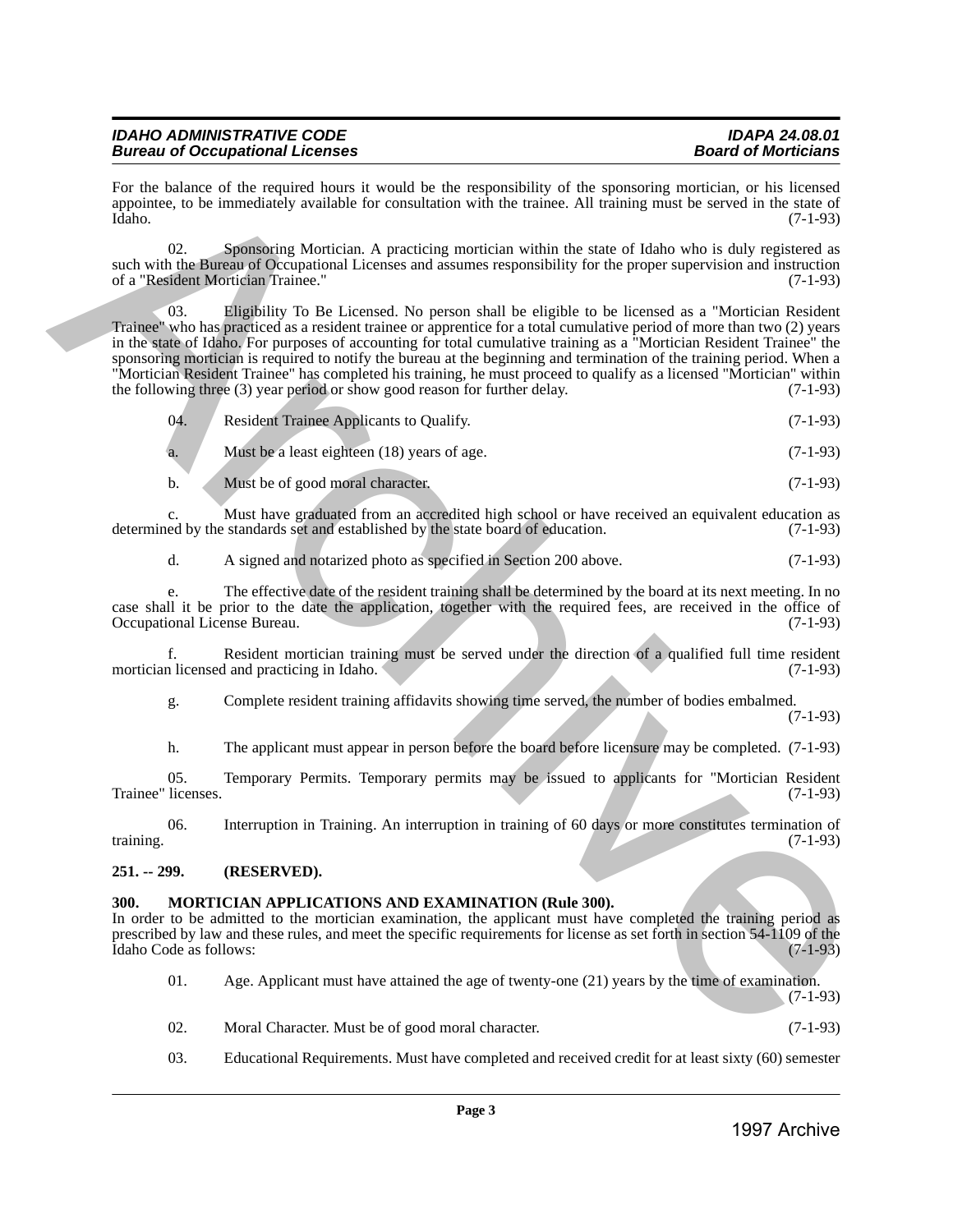| <b>IDAHO ADMINISTRATIVE CODE</b>       | <b>IDAPA 24.08.01</b>      |
|----------------------------------------|----------------------------|
| <b>Bureau of Occupational Licenses</b> | <b>Board of Morticians</b> |

For the balance of the required hours it would be the responsibility of the sponsoring mortician, or his licensed appointee, to be immediately available for consultation with the trainee. All training must be served in the state of Idaho. (7-1-93) Idaho. (7-1-93)

02. Sponsoring Mortician. A practicing mortician within the state of Idaho who is duly registered as such with the Bureau of Occupational Licenses and assumes responsibility for the proper supervision and instruction<br>of a "Resident Mortician Trainee." (7-1-93) of a "Resident Mortician Trainee."

03. Eligibility To Be Licensed. No person shall be eligible to be licensed as a "Mortician Resident Trainee" who has practiced as a resident trainee or apprentice for a total cumulative period of more than two (2) years in the state of Idaho. For purposes of accounting for total cumulative training as a "Mortician Resident Trainee" the sponsoring mortician is required to notify the bureau at the beginning and termination of the training period. When a "Mortician Resident Trainee" has completed his training, he must proceed to qualify as a licensed "Mortician" within the following three (3) year period or show good reason for further delay. (7-1-93) For the balance of the possible stress) is the interpretation of the symmetric interpretation of the controlline of the controlline of the controlline of the controlline of the controlline of the controlline of the contro

| 04. | Resident Trainee Applicants to Qualify. | $(7-1-93)$ |
|-----|-----------------------------------------|------------|
|     |                                         |            |
|     |                                         |            |

Must be a least eighteen (18) years of age. (7-1-93)

b. Must be of good moral character. (7-1-93)

c. Must have graduated from an accredited high school or have received an equivalent education as ed by the standards set and established by the state board of education. (7-1-93) determined by the standards set and established by the state board of education.

d. A signed and notarized photo as specified in Section 200 above. (7-1-93)

e. The effective date of the resident training shall be determined by the board at its next meeting. In no case shall it be prior to the date the application, together with the required fees, are received in the office of Occupational License Bureau. (7-1-93) Occupational License Bureau.

f. Resident mortician training must be served under the direction of a qualified full time resident mortician licensed and practicing in Idaho.

g. Complete resident training affidavits showing time served, the number of bodies embalmed.

(7-1-93)

h. The applicant must appear in person before the board before licensure may be completed. (7-1-93)

05. Temporary Permits. Temporary permits may be issued to applicants for "Mortician Resident licenses. (7-1-93) Trainee" licenses.

06. Interruption in Training. An interruption in training of 60 days or more constitutes termination of training.  $(7-1-93)$ 

# <span id="page-2-0"></span>**251. -- 299. (RESERVED).**

# <span id="page-2-1"></span>**300. MORTICIAN APPLICATIONS AND EXAMINATION (Rule 300).**

In order to be admitted to the mortician examination, the applicant must have completed the training period as prescribed by law and these rules, and meet the specific requirements for license as set forth in section 54-1109 of the Idaho Code as follows: (7-1-93) Idaho Code as follows:

01. Age. Applicant must have attained the age of twenty-one (21) years by the time of examination. (7-1-93)

- 02. Moral Character. Must be of good moral character. (7-1-93)
- 03. Educational Requirements. Must have completed and received credit for at least sixty (60) semester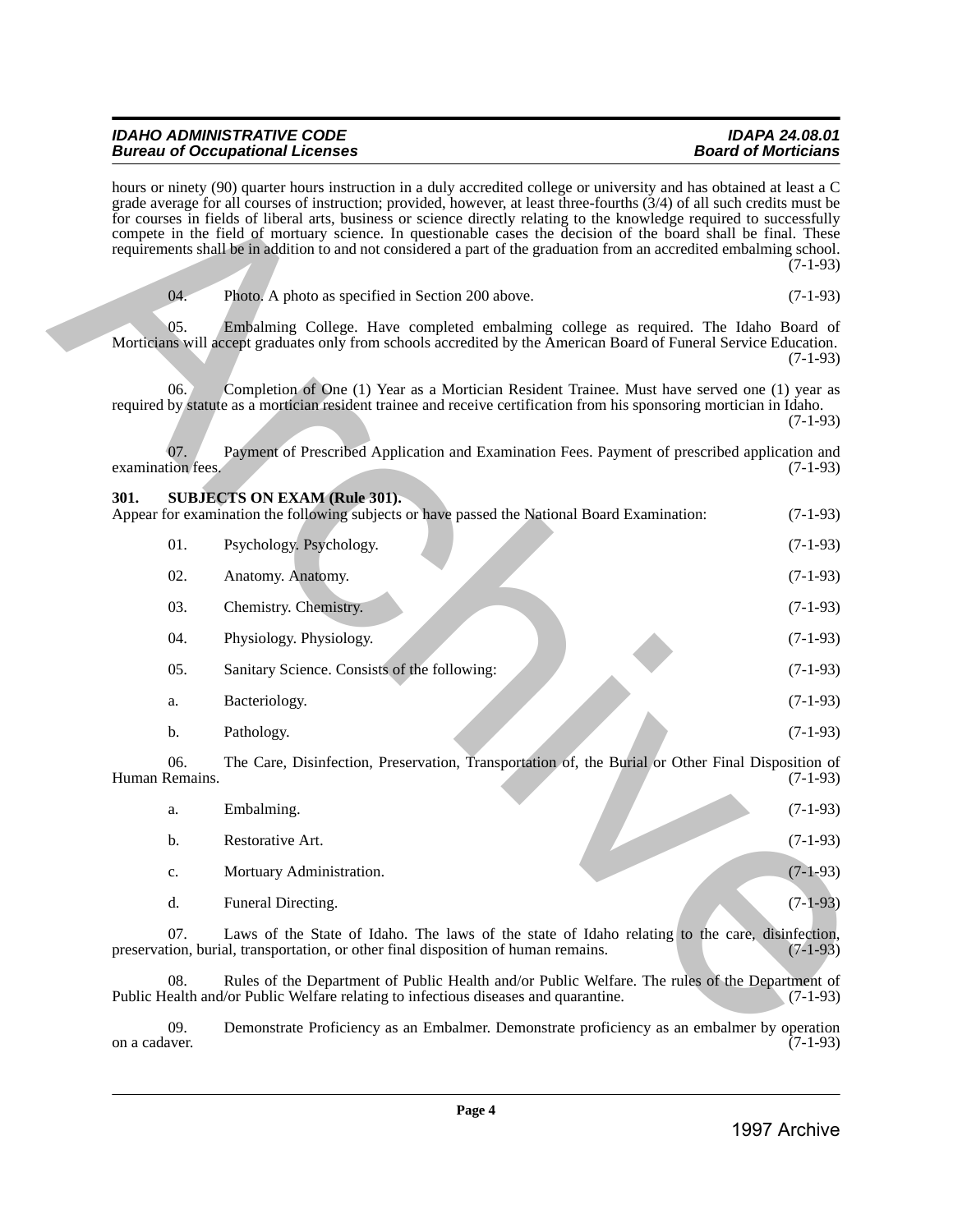| <b>IDAHO ADMINISTRATIVE CODE</b>       | IDAPA 24.08.01             |
|----------------------------------------|----------------------------|
| <b>Bureau of Occupational Licenses</b> | <b>Board of Morticians</b> |

<span id="page-3-0"></span>

| 04. | Photo. A photo as specified in Section 200 above. | $(7-1-93)$ |
|-----|---------------------------------------------------|------------|

|                          | hours or ninety (90) quarter hours instruction in a duly accredited college or university and has obtained at least a C<br>grade average for all courses of instruction; provided, however, at least three-fourths (3/4) of all such credits must be<br>for courses in fields of liberal arts, business or science directly relating to the knowledge required to successfully<br>compete in the field of mortuary science. In questionable cases the decision of the board shall be final. These<br>requirements shall be in addition to and not considered a part of the graduation from an accredited embalming school. | $(7-1-93)$   |
|--------------------------|----------------------------------------------------------------------------------------------------------------------------------------------------------------------------------------------------------------------------------------------------------------------------------------------------------------------------------------------------------------------------------------------------------------------------------------------------------------------------------------------------------------------------------------------------------------------------------------------------------------------------|--------------|
| 04.                      | Photo. A photo as specified in Section 200 above.                                                                                                                                                                                                                                                                                                                                                                                                                                                                                                                                                                          | $(7-1-93)$   |
| 05.                      | Embalming College. Have completed embalming college as required. The Idaho Board of<br>Morticians will accept graduates only from schools accredited by the American Board of Funeral Service Education.                                                                                                                                                                                                                                                                                                                                                                                                                   | $(7-1-93)$   |
| 06.                      | Completion of One (1) Year as a Mortician Resident Trainee. Must have served one (1) year as<br>required by statute as a mortician resident trainee and receive certification from his sponsoring mortician in Idaho.                                                                                                                                                                                                                                                                                                                                                                                                      | $(7-1-93)$   |
| 07.<br>examination fees. | Payment of Prescribed Application and Examination Fees. Payment of prescribed application and                                                                                                                                                                                                                                                                                                                                                                                                                                                                                                                              | $(7-1-93)$   |
| 301.                     | <b>SUBJECTS ON EXAM (Rule 301).</b><br>Appear for examination the following subjects or have passed the National Board Examination:                                                                                                                                                                                                                                                                                                                                                                                                                                                                                        | $(7-1-93)$   |
| 01.                      | Psychology. Psychology.                                                                                                                                                                                                                                                                                                                                                                                                                                                                                                                                                                                                    | $(7-1-93)$   |
| 02.                      | Anatomy. Anatomy.                                                                                                                                                                                                                                                                                                                                                                                                                                                                                                                                                                                                          | $(7-1-93)$   |
| 03.                      | Chemistry. Chemistry.                                                                                                                                                                                                                                                                                                                                                                                                                                                                                                                                                                                                      | $(7-1-93)$   |
| 04.                      | Physiology. Physiology.                                                                                                                                                                                                                                                                                                                                                                                                                                                                                                                                                                                                    | $(7-1-93)$   |
| 05.                      | Sanitary Science. Consists of the following:                                                                                                                                                                                                                                                                                                                                                                                                                                                                                                                                                                               | $(7-1-93)$   |
| a.                       | Bacteriology.                                                                                                                                                                                                                                                                                                                                                                                                                                                                                                                                                                                                              | $(7-1-93)$   |
| b.                       | Pathology.                                                                                                                                                                                                                                                                                                                                                                                                                                                                                                                                                                                                                 | $(7-1-93)$   |
| 06.<br>Human Remains.    | The Care, Disinfection, Preservation, Transportation of, the Burial or Other Final Disposition of                                                                                                                                                                                                                                                                                                                                                                                                                                                                                                                          | $(7-1-93)$   |
| a.                       | Embalming.                                                                                                                                                                                                                                                                                                                                                                                                                                                                                                                                                                                                                 | $(7-1-93)$   |
| b.                       | Restorative Art.                                                                                                                                                                                                                                                                                                                                                                                                                                                                                                                                                                                                           | $(7-1-93)$   |
| c.                       | Mortuary Administration.                                                                                                                                                                                                                                                                                                                                                                                                                                                                                                                                                                                                   | $(7-1-93)$   |
| d.                       | Funeral Directing.                                                                                                                                                                                                                                                                                                                                                                                                                                                                                                                                                                                                         | $(7-1-93)$   |
| 07.                      | Laws of the State of Idaho. The laws of the state of Idaho relating to the care, disinfection,<br>preservation, burial, transportation, or other final disposition of human remains.                                                                                                                                                                                                                                                                                                                                                                                                                                       | $(7-1-93)$   |
| 08.                      | Rules of the Department of Public Health and/or Public Welfare. The rules of the Department of<br>Public Health and/or Public Welfare relating to infectious diseases and quarantine.                                                                                                                                                                                                                                                                                                                                                                                                                                      | $(7-1-93)$   |
| 09.<br>on a cadaver.     | Demonstrate Proficiency as an Embalmer. Demonstrate proficiency as an embalmer by operation                                                                                                                                                                                                                                                                                                                                                                                                                                                                                                                                | $(7-1-93)$   |
|                          | Page 4                                                                                                                                                                                                                                                                                                                                                                                                                                                                                                                                                                                                                     | 1997 Archive |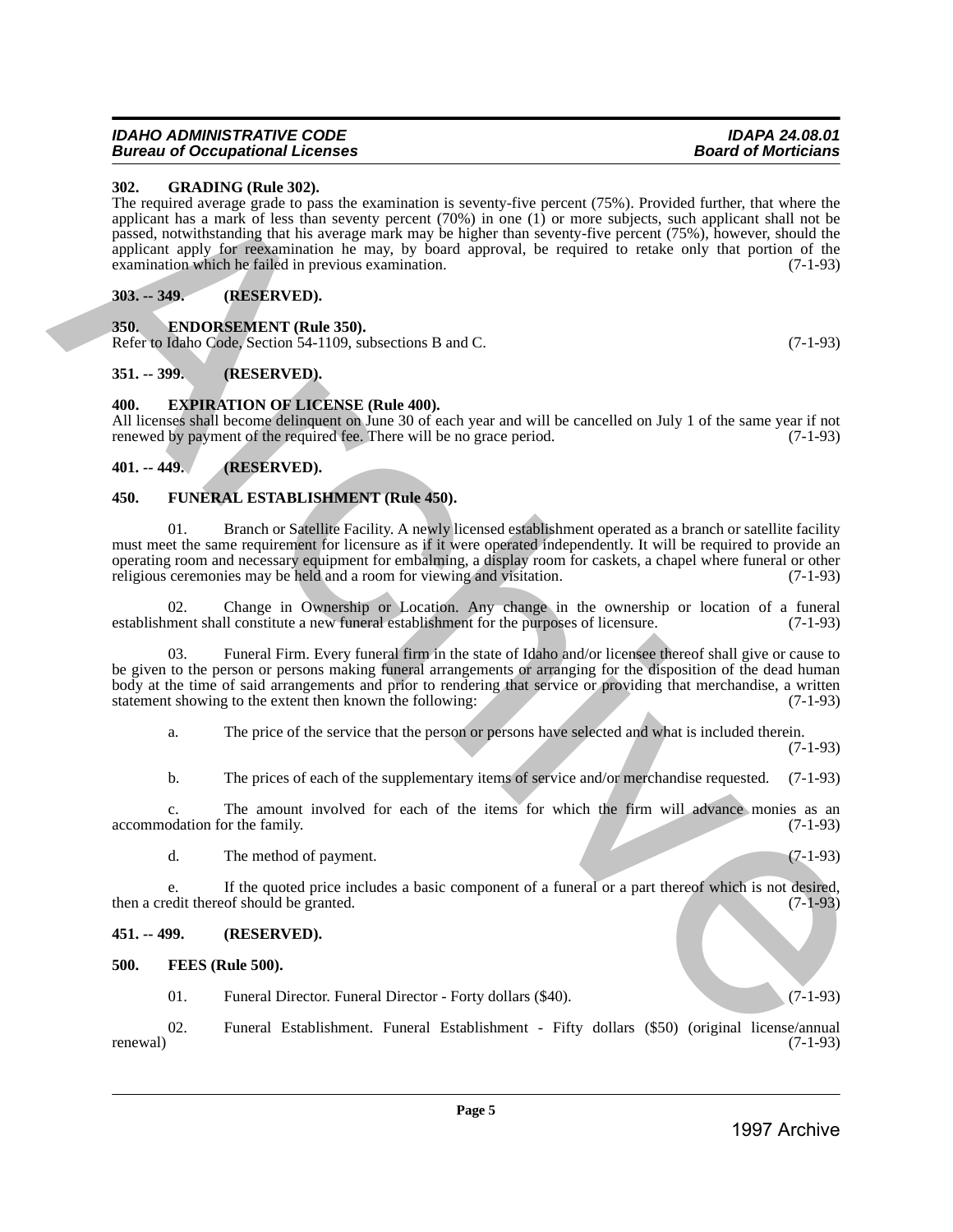#### *IDAHO ADMINISTRATIVE CODE IDAPA 24.08.01* **Bureau of Occupational Licenses**

# <span id="page-4-0"></span>**302. GRADING (Rule 302).**

The required average grade to pass the examination is seventy-five percent (75%). Provided further, that where the applicant has a mark of less than seventy percent (70%) in one (1) or more subjects, such applicant shall not be passed, notwithstanding that his average mark may be higher than seventy-five percent (75%), however, should the applicant apply for reexamination he may, by board approval, be required to retake only that portion of the examination which he failed in previous examination. (7-1-93) **202.** GENERAL DEVISION CONTINUES IN the content of person (1981) Formula Content of the content of the content of the content of the content of the content of the content of the content of the content of the content of t

# <span id="page-4-1"></span>**303. -- 349. (RESERVED).**

# <span id="page-4-2"></span>**350. ENDORSEMENT (Rule 350).**

Refer to Idaho Code, Section 54-1109, subsections B and C. (7-1-93)

# <span id="page-4-3"></span>**351. -- 399. (RESERVED).**

# <span id="page-4-4"></span>**400. EXPIRATION OF LICENSE (Rule 400).**

All licenses shall become delinquent on June 30 of each year and will be cancelled on July 1 of the same year if not renewed by payment of the required fee. There will be no grace period. (7-1-93) renewed by payment of the required fee. There will be no grace period.

# <span id="page-4-5"></span>**401. -- 449. (RESERVED).**

# <span id="page-4-6"></span>**450. FUNERAL ESTABLISHMENT (Rule 450).**

01. Branch or Satellite Facility. A newly licensed establishment operated as a branch or satellite facility must meet the same requirement for licensure as if it were operated independently. It will be required to provide an operating room and necessary equipment for embalming, a display room for caskets, a chapel where funeral or other<br>religious ceremonies may be held and a room for viewing and visitation. (7-1-93) religious ceremonies may be held and a room for viewing and visitation.

Change in Ownership or Location. Any change in the ownership or location of a funeral ll constitute a new funeral establishment for the purposes of licensure.  $(7-1-93)$ establishment shall constitute a new funeral establishment for the purposes of licensure.

Funeral Firm. Every funeral firm in the state of Idaho and/or licensee thereof shall give or cause to be given to the person or persons making funeral arrangements or arranging for the disposition of the dead human body at the time of said arrangements and prior to rendering that service or providing that merchandise, a written statement showing to the extent then known the following: (7-1-93)

a. The price of the service that the person or persons have selected and what is included therein. (7-1-93)

b. The prices of each of the supplementary items of service and/or merchandise requested. (7-1-93)

c. The amount involved for each of the items for which the firm will advance monies as an odation for the family. (7-1-93) accommodation for the family.

d. The method of payment. (7-1-93)

e. If the quoted price includes a basic component of a funeral or a part thereof which is not desired,<br>edit thereof should be granted. (7-1-93) then a credit thereof should be granted.

# <span id="page-4-7"></span>**451. -- 499. (RESERVED).**

### <span id="page-4-8"></span>**500. FEES (Rule 500).**

01. Funeral Director. Funeral Director - Forty dollars (\$40). (7-1-93)

02. Funeral Establishment. Funeral Establishment - Fifty dollars (\$50) (original license/annual renewal)  $(7-1-93)$ 

**Page 5**